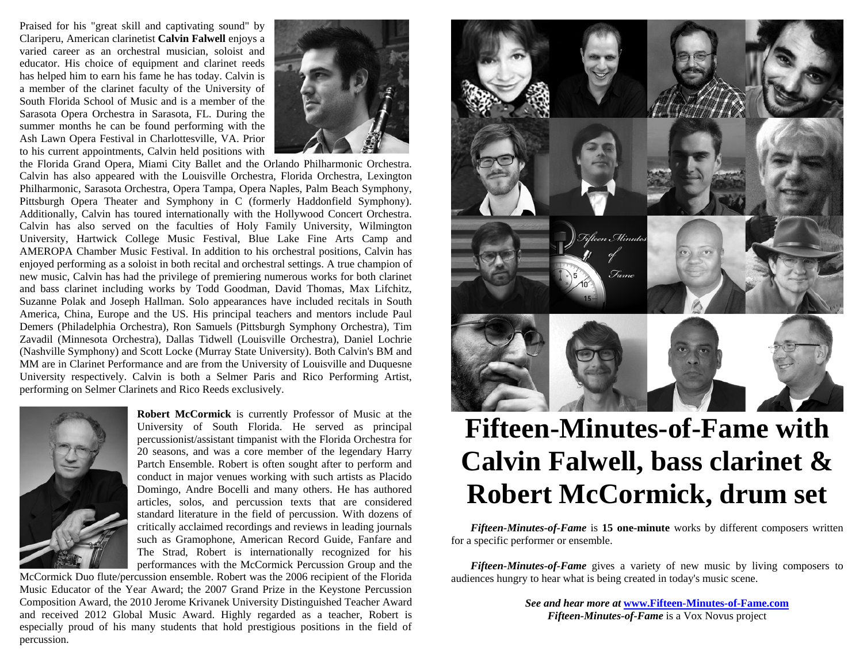Praised for his "great skill and captivating sound" by Clariperu, American clarinetist **Calvin Falwell** enjoys a varied career as an orchestral musician, soloist and educator. His choice of equipment and clarinet reeds has helped him to earn his fame he has today. Calvin is a member of the clarinet faculty of the University of South Florida School of Music and is a member of the Sarasota Opera Orchestra in Sarasota, FL. During the summer months he can be found performing with the Ash Lawn Opera Festival in Charlottesville, VA. Prior to his current appointments, Calvin held positions with



the Florida Grand Opera, Miami City Ballet and the Orlando Philharmonic Orchestra. Calvin has also appeared with the Louisville Orchestra, Florida Orchestra, Lexington Philharmonic, Sarasota Orchestra, Opera Tampa, Opera Naples, Palm Beach Symphony, Pittsburgh Opera Theater and Symphony in C (formerly Haddonfield Symphony). Additionally, Calvin has toured internationally with the Hollywood Concert Orchestra. Calvin has also served on the faculties of Holy Family University, Wilmington University, Hartwick College Music Festival, Blue Lake Fine Arts Camp and AMEROPA Chamber Music Festival. In addition to his orchestral positions, Calvin has enjoyed performing as a soloist in both recital and orchestral settings. A true champion of new music, Calvin has had the privilege of premiering numerous works for both clarinet and bass clarinet including works by Todd Goodman, David Thomas, Max Lifchitz, Suzanne Polak and Joseph Hallman. Solo appearances have included recitals in South America, China, Europe and the US. His principal teachers and mentors include Paul Demers (Philadelphia Orchestra), Ron Samuels (Pittsburgh Symphony Orchestra), Tim Zavadil (Minnesota Orchestra), Dallas Tidwell (Louisville Orchestra), Daniel Lochrie (Nashville Symphony) and Scott Locke (Murray State University). Both Calvin's BM and MM are in Clarinet Performance and are from the University of Louisville and Duquesne University respectively. Calvin is both a Selmer Paris and Rico Performing Artist, performing on Selmer Clarinets and Rico Reeds exclusively.



**Robert McCormick** is currently Professor of Music at the University of South Florida. He served as principal percussionist/assistant timpanist with the Florida Orchestra for 20 seasons, and was a core member of the legendary Harry Partch Ensemble. Robert is often sought after to perform and conduct in major venues working with such artists as Placido Domingo, Andre Bocelli and many others. He has authored articles, solos, and percussion texts that are considered standard literature in the field of percussion. With dozens of critically acclaimed recordings and reviews in leading journals such as Gramophone, American Record Guide, Fanfare and The Strad, Robert is internationally recognized for his performances with the McCormick Percussion Group and the

McCormick Duo flute/percussion ensemble. Robert was the 2006 recipient of the Florida Music Educator of the Year Award; the 2007 Grand Prize in the Keystone Percussion Composition Award, the 2010 Jerome Krivanek University Distinguished Teacher Award and received 2012 Global Music Award. Highly regarded as a teacher, Robert is especially proud of his many students that hold prestigious positions in the field of percussion.



# **Fifteen-Minutes-of-Fame with Calvin Falwell, bass clarinet & Robert McCormick, drum set**

*Fifteen-Minutes-of-Fame* is **15 one-minute** works by different composers written for a specific performer or ensemble.

*Fifteen-Minutes-of-Fame* gives a variety of new music by living composers to audiences hungry to hear what is being created in today's music scene.

> *See and hear more at* **[www.Fifteen-Minutes-of-Fame.com](http://www.fifteen-minutes-of-fame.com/)***Fifteen-Minutes-of-Fame* is a Vox Novus project